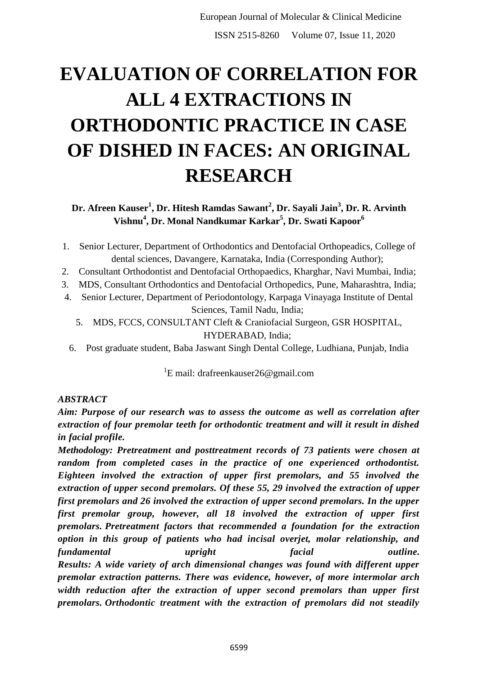# **EVALUATION OF CORRELATION FOR ALL 4 EXTRACTIONS IN ORTHODONTIC PRACTICE IN CASE OF DISHED IN FACES: AN ORIGINAL RESEARCH**

**Dr. Afreen Kauser<sup>1</sup> , Dr. Hitesh Ramdas Sawant<sup>2</sup> , Dr. Sayali Jain<sup>3</sup> , Dr. R. Arvinth Vishnu<sup>4</sup> , Dr. Monal Nandkumar Karkar<sup>5</sup> , Dr. Swati Kapoor<sup>6</sup>**

- 1. Senior Lecturer, Department of Orthodontics and Dentofacial Orthopeadics, College of dental sciences, Davangere, Karnataka, India (Corresponding Author);
- 2. Consultant Orthodontist and Dentofacial Orthopaedics, Kharghar, Navi Mumbai, India;
- 3. MDS, Consultant Orthodontics and Dentofacial Orthopedics, Pune, Maharashtra, India;
- 4. Senior Lecturer, Department of Periodontology, Karpaga Vinayaga Institute of Dental Sciences, Tamil Nadu, India;
	- 5. MDS, FCCS, CONSULTANT Cleft & Craniofacial Surgeon, GSR HOSPITAL, HYDERABAD, India;
	- 6. Post graduate student, Baba Jaswant Singh Dental College, Ludhiana, Punjab, India

<sup>1</sup>E mail: drafreenkauser26@gmail.com

# *ABSTRACT*

*Aim: Purpose of our research was to assess the outcome as well as correlation after extraction of four premolar teeth for orthodontic treatment and will it result in dished in facial profile.*

*Methodology: Pretreatment and posttreatment records of 73 patients were chosen at random from completed cases in the practice of one experienced orthodontist. Eighteen involved the extraction of upper first premolars, and 55 involved the extraction of upper second premolars. Of these 55, 29 involved the extraction of upper first premolars and 26 involved the extraction of upper second premolars. In the upper first premolar group, however, all 18 involved the extraction of upper first premolars. Pretreatment factors that recommended a foundation for the extraction option in this group of patients who had incisal overjet, molar relationship, and fundamental upright facial outline. Results: A wide variety of arch dimensional changes was found with different upper premolar extraction patterns. There was evidence, however, of more intermolar arch width reduction after the extraction of upper second premolars than upper first premolars. Orthodontic treatment with the extraction of premolars did not steadily*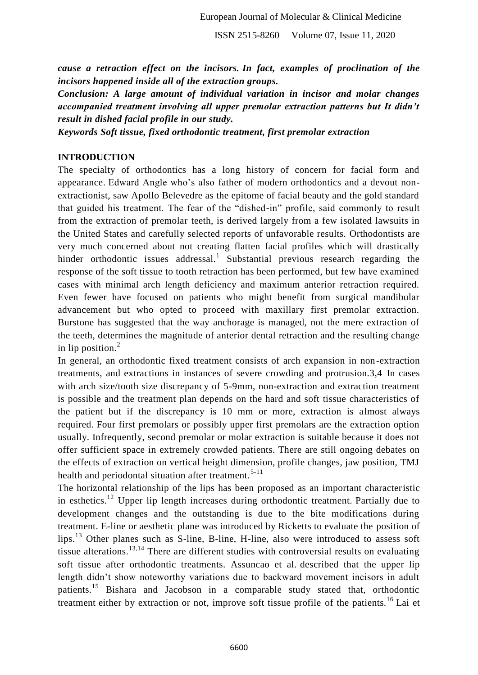*cause a retraction effect on the incisors. In fact, examples of proclination of the incisors happened inside all of the extraction groups.*

*Conclusion: A large amount of individual variation in incisor and molar changes accompanied treatment involving all upper premolar extraction patterns but It didn't result in dished facial profile in our study.*

*Keywords Soft tissue, fixed orthodontic treatment, first premolar extraction*

## **INTRODUCTION**

The specialty of orthodontics has a long history of concern for facial form and appearance. Edward Angle who"s also father of modern orthodontics and a devout nonextractionist, saw Apollo Belevedre as the epitome of facial beauty and the gold standard that guided his treatment. The fear of the "dished-in" profile, said commonly to result from the extraction of premolar teeth, is derived largely from a few isolated lawsuits in the United States and carefully selected reports of unfavorable results. Orthodontists are very much concerned about not creating flatten facial profiles which will drastically hinder orthodontic issues addressal.<sup>1</sup> Substantial previous research regarding the response of the soft tissue to tooth retraction has been performed, but few have examined cases with minimal arch length deficiency and maximum anterior retraction required. Even fewer have focused on patients who might benefit from surgical mandibular advancement but who opted to proceed with maxillary first premolar extraction. Burstone has suggested that the way anchorage is managed, not the mere extraction of the teeth, determines the magnitude of anterior dental retraction and the resulting change in lip position. $<sup>2</sup>$ </sup>

In general, an orthodontic fixed treatment consists of arch expansion in non-extraction treatments, and extractions in instances of severe crowding and protrusion.3,4 In cases with arch size/tooth size discrepancy of 5-9mm, non-extraction and extraction treatment is possible and the treatment plan depends on the hard and soft tissue characteristics of the patient but if the discrepancy is 10 mm or more, extraction is almost always required. Four first premolars or possibly upper first premolars are the extraction option usually. Infrequently, second premolar or molar extraction is suitable because it does not offer sufficient space in extremely crowded patients. There are still ongoing debates on the effects of extraction on vertical height dimension, profile changes, jaw position, TMJ health and periodontal situation after treatment.<sup>5-11</sup>

The horizontal relationship of the lips has been proposed as an important characteristic in esthetics.<sup>12</sup> Upper lip length increases during orthodontic treatment. Partially due to development changes and the outstanding is due to the bite modifications during treatment. E-line or aesthetic plane was introduced by Ricketts to evaluate the position of lips.<sup>13</sup> Other planes such as S-line, B-line, H-line, also were introduced to assess soft tissue alterations.<sup>13,14</sup> There are different studies with controversial results on evaluating soft tissue after orthodontic treatments. Assuncao et al. described that the upper lip length didn"t show noteworthy variations due to backward movement incisors in adult patients.<sup>15</sup> Bishara and Jacobson in a comparable study stated that, orthodontic treatment either by extraction or not, improve soft tissue profile of the patients.<sup>16</sup> Lai et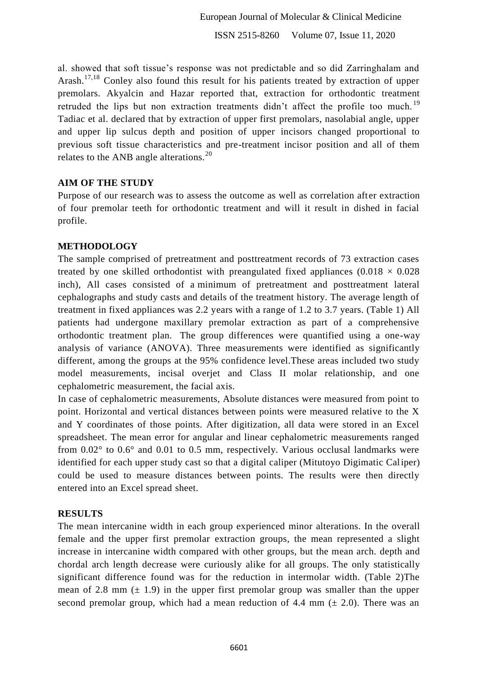al. showed that soft tissue"s response was not predictable and so did Zarringhalam and Arash.<sup>17,18</sup> Conley also found this result for his patients treated by extraction of upper premolars. Akyalcin and Hazar reported that, extraction for orthodontic treatment retruded the lips but non extraction treatments didn't affect the profile too much.<sup>19</sup> Tadiac et al. declared that by extraction of upper first premolars, nasolabial angle, upper and upper lip sulcus depth and position of upper incisors changed proportional to previous soft tissue characteristics and pre-treatment incisor position and all of them relates to the ANB angle alterations.<sup>20</sup>

#### **AIM OF THE STUDY**

Purpose of our research was to assess the outcome as well as correlation after extraction of four premolar teeth for orthodontic treatment and will it result in dished in facial profile.

#### **METHODOLOGY**

The sample comprised of pretreatment and posttreatment records of 73 extraction cases treated by one skilled orthodontist with preangulated fixed appliances  $(0.018 \times 0.028$ inch), All cases consisted of a minimum of pretreatment and posttreatment lateral cephalographs and study casts and details of the treatment history. The average length of treatment in fixed appliances was 2.2 years with a range of 1.2 to 3.7 years. (Table 1) All patients had undergone maxillary premolar extraction as part of a comprehensive orthodontic treatment plan. The group differences were quantified using a one-way analysis of variance (ANOVA). Three measurements were identified as significantly different, among the groups at the 95% confidence level.These areas included two study model measurements, incisal overjet and Class II molar relationship, and one cephalometric measurement, the facial axis.

In case of cephalometric measurements, Absolute distances were measured from point to point. Horizontal and vertical distances between points were measured relative to the X and Y coordinates of those points. After digitization, all data were stored in an Excel spreadsheet. The mean error for angular and linear cephalometric measurements ranged from 0.02° to 0.6° and 0.01 to 0.5 mm, respectively. Various occlusal landmarks were identified for each upper study cast so that a digital caliper (Mitutoyo Digimatic Caliper) could be used to measure distances between points. The results were then directly entered into an Excel spread sheet.

#### **RESULTS**

The mean intercanine width in each group experienced minor alterations. In the overall female and the upper first premolar extraction groups, the mean represented a slight increase in intercanine width compared with other groups, but the mean arch. depth and chordal arch length decrease were curiously alike for all groups. The only statistically significant difference found was for the reduction in intermolar width. (Table 2)The mean of 2.8 mm  $(\pm 1.9)$  in the upper first premolar group was smaller than the upper second premolar group, which had a mean reduction of 4.4 mm  $(\pm 2.0)$ . There was an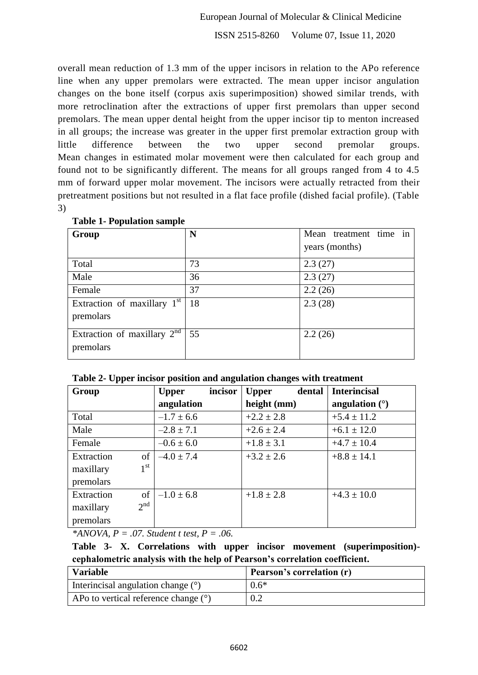overall mean reduction of 1.3 mm of the upper incisors in relation to the APo reference line when any upper premolars were extracted. The mean upper incisor angulation changes on the bone itself (corpus axis superimposition) showed similar trends, with more retroclination after the extractions of upper first premolars than upper second premolars. The mean upper dental height from the upper incisor tip to menton increased in all groups; the increase was greater in the upper first premolar extraction group with little difference between the two upper second premolar groups. Mean changes in estimated molar movement were then calculated for each group and found not to be significantly different. The means for all groups ranged from 4 to 4.5 mm of forward upper molar movement. The incisors were actually retracted from their pretreatment positions but not resulted in a flat face profile (dished facial profile). (Table 3)

| Group                                      | N  | Mean treatment time in |
|--------------------------------------------|----|------------------------|
|                                            |    | years (months)         |
| Total                                      | 73 | 2.3(27)                |
| Male                                       | 36 | 2.3(27)                |
| Female                                     | 37 | 2.2(26)                |
| Extraction of maxillary $1st$<br>premolars | 18 | 2.3(28)                |
| Extraction of maxillary $2nd$<br>premolars | 55 | 2.2(26)                |

**Table 1- Population sample**

|  |  | Table 2- Upper incisor position and angulation changes with treatment |  |  |
|--|--|-----------------------------------------------------------------------|--|--|
|  |  |                                                                       |  |  |

| Group                        | incisor<br><b>Upper</b> | dental<br><b>Upper</b> | <b>Interincisal</b> |
|------------------------------|-------------------------|------------------------|---------------------|
|                              | angulation              | height (mm)            | angulation $(°)$    |
| Total                        | $-1.7 \pm 6.6$          | $+2.2 \pm 2.8$         | $+5.4 \pm 11.2$     |
| Male                         | $-2.8 \pm 7.1$          | $+2.6 \pm 2.4$         | $+6.1 \pm 12.0$     |
| Female                       | $-0.6 \pm 6.0$          | $+1.8 \pm 3.1$         | $+4.7 \pm 10.4$     |
| Extraction<br>of             | $-4.0 \pm 7.4$          | $+3.2 \pm 2.6$         | $+8.8 \pm 14.1$     |
| 1 <sup>st</sup><br>maxillary |                         |                        |                     |
| premolars                    |                         |                        |                     |
| of<br>Extraction             | $-1.0 \pm 6.8$          | $+1.8 \pm 2.8$         | $+4.3 \pm 10.0$     |
| 2 <sup>nd</sup><br>maxillary |                         |                        |                     |
| premolars                    |                         |                        |                     |

*\*ANOVA, P = .07. Student t test, P = .06.*

**Table 3- X. Correlations with upper incisor movement (superimposition) cephalometric analysis with the help of Pearson's correlation coefficient.**

| Variable                               | <b>Pearson's correlation (r)</b> |
|----------------------------------------|----------------------------------|
| Interincisal angulation change $(°)$   | $0.6*$                           |
| APo to vertical reference change $(°)$ |                                  |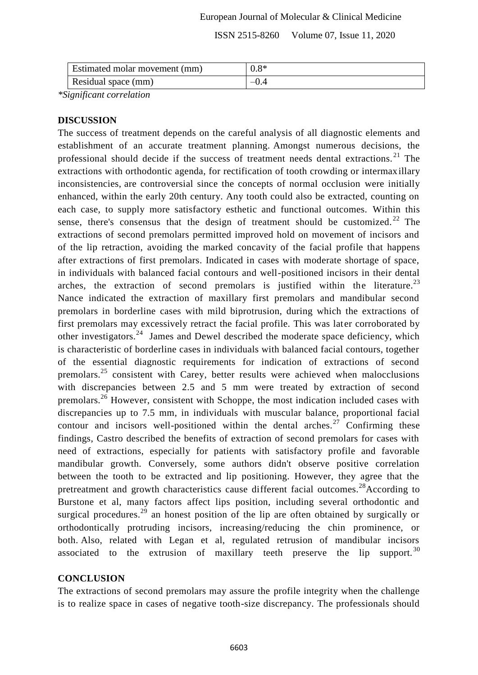| Estimated molar movement (mm) | $0.8*$ |  |
|-------------------------------|--------|--|
| Residual space (mm)           |        |  |
|                               |        |  |

*\*Significant correlation*

## **DISCUSSION**

The success of treatment depends on the careful analysis of all diagnostic elements and establishment of an accurate treatment planning. Amongst numerous decisions, the professional should decide if the success of treatment needs dental extractions.<sup>21</sup> The extractions with orthodontic agenda, for rectification of tooth crowding or intermaxillary inconsistencies, are controversial since the concepts of normal occlusion were initially enhanced, within the early 20th century. Any tooth could also be extracted, counting on each case, to supply more satisfactory esthetic and functional outcomes. Within this sense, there's consensus that the design of treatment should be customized.<sup>22</sup> The extractions of second premolars permitted improved hold on movement of incisors and of the lip retraction, avoiding the marked concavity of the facial profile that happens after extractions of first premolars. Indicated in cases with moderate shortage of space, in individuals with balanced facial contours and well-positioned incisors in their dental arches, the extraction of second premolars is justified within the literature.<sup>23</sup> Nance indicated the extraction of maxillary first premolars and mandibular second premolars in borderline cases with mild biprotrusion, during which the extractions of first premolars may excessively retract the facial profile. This was later corroborated by other investigators.<sup>24</sup> James and Dewel described the moderate space deficiency, which is characteristic of borderline cases in individuals with balanced facial contours, together of the essential diagnostic requirements for indication of extractions of second premolars.<sup>25</sup> consistent with Carey, better results were achieved when malocclusions with discrepancies between 2.5 and 5 mm were treated by extraction of second premolars.<sup>26</sup> However, consistent with Schoppe, the most indication included cases with discrepancies up to 7.5 mm, in individuals with muscular balance, proportional facial contour and incisors well-positioned within the dental arches.<sup>27</sup> Confirming these findings, Castro described the benefits of extraction of second premolars for cases with need of extractions, especially for patients with satisfactory profile and favorable mandibular growth. Conversely, some authors didn't observe positive correlation between the tooth to be extracted and lip positioning. However, they agree that the pretreatment and growth characteristics cause different facial outcomes.<sup>28</sup>According to Burstone et al, many factors affect lips position, including several orthodontic and surgical procedures.<sup>29</sup> an honest position of the lip are often obtained by surgically or orthodontically protruding incisors, increasing/reducing the chin prominence, or both. Also, related with Legan et al, regulated retrusion of mandibular incisors associated to the extrusion of maxillary teeth preserve the lip support.<sup>30</sup>

# **CONCLUSION**

The extractions of second premolars may assure the profile integrity when the challenge is to realize space in cases of negative tooth-size discrepancy. The professionals should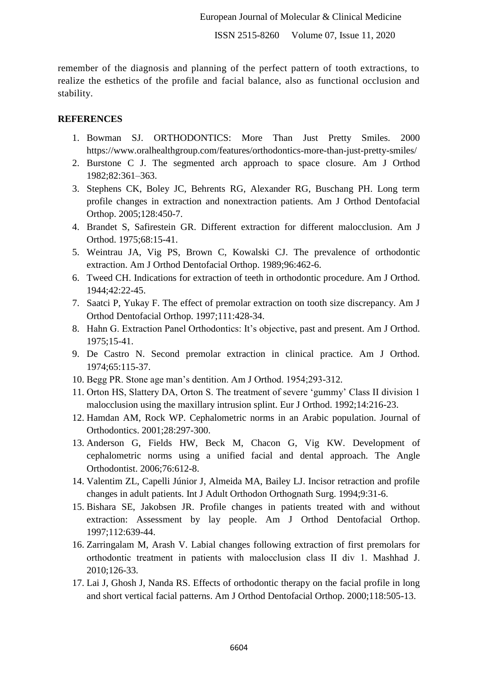remember of the diagnosis and planning of the perfect pattern of tooth extractions, to realize the esthetics of the profile and facial balance, also as functional occlusion and stability.

#### **REFERENCES**

- 1. Bowman SJ. ORTHODONTICS: More Than Just Pretty Smiles. 2000 https://www.oralhealthgroup.com/features/orthodontics-more-than-just-pretty-smiles/
- 2. Burstone C J. The segmented arch approach to space closure. Am J Orthod 1982;82:361–363.
- 3. Stephens CK, Boley JC, Behrents RG, Alexander RG, Buschang PH. Long term profile changes in extraction and nonextraction patients. Am J Orthod Dentofacial Orthop. 2005;128:450-7.
- 4. Brandet S, Safirestein GR. Different extraction for different malocclusion. Am J Orthod. 1975;68:15-41.
- 5. Weintrau JA, Vig PS, Brown C, Kowalski CJ. The prevalence of orthodontic extraction. Am J Orthod Dentofacial Orthop. 1989;96:462-6.
- 6. Tweed CH. Indications for extraction of teeth in orthodontic procedure. Am J Orthod. 1944;42:22-45.
- 7. Saatci P, Yukay F. The effect of premolar extraction on tooth size discrepancy. Am J Orthod Dentofacial Orthop. 1997;111:428-34.
- 8. Hahn G. Extraction Panel Orthodontics: It's objective, past and present. Am J Orthod. 1975;15-41.
- 9. De Castro N. Second premolar extraction in clinical practice. Am J Orthod. 1974;65:115-37.
- 10. Begg PR. Stone age man"s dentition. Am J Orthod. 1954;293-312.
- 11. Orton HS, Slattery DA, Orton S. The treatment of severe "gummy" Class II division 1 malocclusion using the maxillary intrusion splint. Eur J Orthod. 1992;14:216-23.
- 12. Hamdan AM, Rock WP. Cephalometric norms in an Arabic population. Journal of Orthodontics. 2001;28:297-300.
- 13. Anderson G, Fields HW, Beck M, Chacon G, Vig KW. Development of cephalometric norms using a unified facial and dental approach. The Angle Orthodontist. 2006;76:612-8.
- 14. Valentim ZL, Capelli Júnior J, Almeida MA, Bailey LJ. Incisor retraction and profile changes in adult patients. Int J Adult Orthodon Orthognath Surg. 1994;9:31-6.
- 15. Bishara SE, Jakobsen JR. Profile changes in patients treated with and without extraction: Assessment by lay people. Am J Orthod Dentofacial Orthop. 1997;112:639-44.
- 16. Zarringalam M, Arash V. Labial changes following extraction of first premolars for orthodontic treatment in patients with malocclusion class ΙΙ div 1. Mashhad J. 2010;126-33.
- 17. Lai J, Ghosh J, Nanda RS. Effects of orthodontic therapy on the facial profile in long and short vertical facial patterns. Am J Orthod Dentofacial Orthop. 2000;118:505-13.